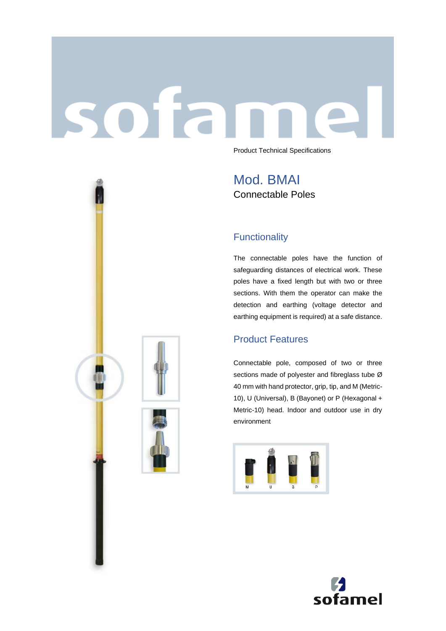# sofar Product Technical Specifications

Mod. BMAI Connectable Poles

## **Functionality**

The connectable poles have the function of safeguarding distances of electrical work. These poles have a fixed length but with two or three sections. With them the operator can make the detection and earthing (voltage detector and earthing equipment is required) at a safe distance.

## Product Features

Connectable pole, composed of two or three sections made of polyester and fibreglass tube Ø 40 mm with hand protector, grip, tip, and M (Metric-10), U (Universal), B (Bayonet) or P (Hexagonal + Metric-10) head. Indoor and outdoor use in dry environment